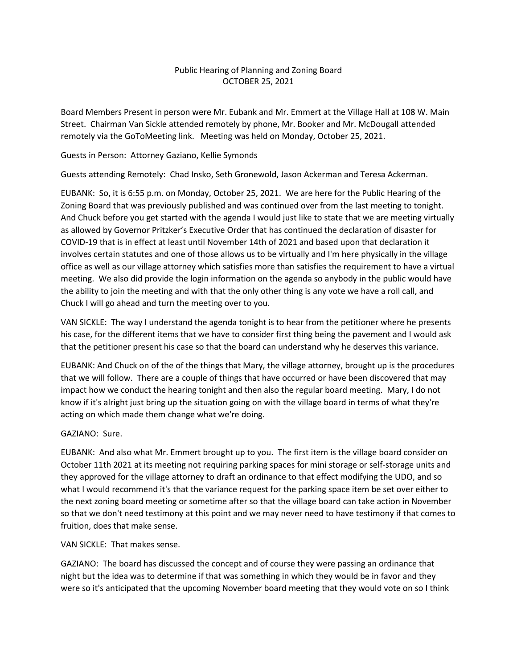# Public Hearing of Planning and Zoning Board OCTOBER 25, 2021

Board Members Present in person were Mr. Eubank and Mr. Emmert at the Village Hall at 108 W. Main Street. Chairman Van Sickle attended remotely by phone, Mr. Booker and Mr. McDougall attended remotely via the GoToMeeting link. Meeting was held on Monday, October 25, 2021.

## Guests in Person: Attorney Gaziano, Kellie Symonds

Guests attending Remotely: Chad Insko, Seth Gronewold, Jason Ackerman and Teresa Ackerman.

EUBANK: So, it is 6:55 p.m. on Monday, October 25, 2021. We are here for the Public Hearing of the Zoning Board that was previously published and was continued over from the last meeting to tonight. And Chuck before you get started with the agenda I would just like to state that we are meeting virtually as allowed by Governor Pritzker's Executive Order that has continued the declaration of disaster for COVID-19 that is in effect at least until November 14th of 2021 and based upon that declaration it involves certain statutes and one of those allows us to be virtually and I'm here physically in the village office as well as our village attorney which satisfies more than satisfies the requirement to have a virtual meeting. We also did provide the login information on the agenda so anybody in the public would have the ability to join the meeting and with that the only other thing is any vote we have a roll call, and Chuck I will go ahead and turn the meeting over to you.

VAN SICKLE: The way I understand the agenda tonight is to hear from the petitioner where he presents his case, for the different items that we have to consider first thing being the pavement and I would ask that the petitioner present his case so that the board can understand why he deserves this variance.

EUBANK: And Chuck on of the of the things that Mary, the village attorney, brought up is the procedures that we will follow. There are a couple of things that have occurred or have been discovered that may impact how we conduct the hearing tonight and then also the regular board meeting. Mary, I do not know if it's alright just bring up the situation going on with the village board in terms of what they're acting on which made them change what we're doing.

## GAZIANO: Sure.

EUBANK: And also what Mr. Emmert brought up to you. The first item is the village board consider on October 11th 2021 at its meeting not requiring parking spaces for mini storage or self-storage units and they approved for the village attorney to draft an ordinance to that effect modifying the UDO, and so what I would recommend it's that the variance request for the parking space item be set over either to the next zoning board meeting or sometime after so that the village board can take action in November so that we don't need testimony at this point and we may never need to have testimony if that comes to fruition, does that make sense.

VAN SICKLE: That makes sense.

GAZIANO: The board has discussed the concept and of course they were passing an ordinance that night but the idea was to determine if that was something in which they would be in favor and they were so it's anticipated that the upcoming November board meeting that they would vote on so I think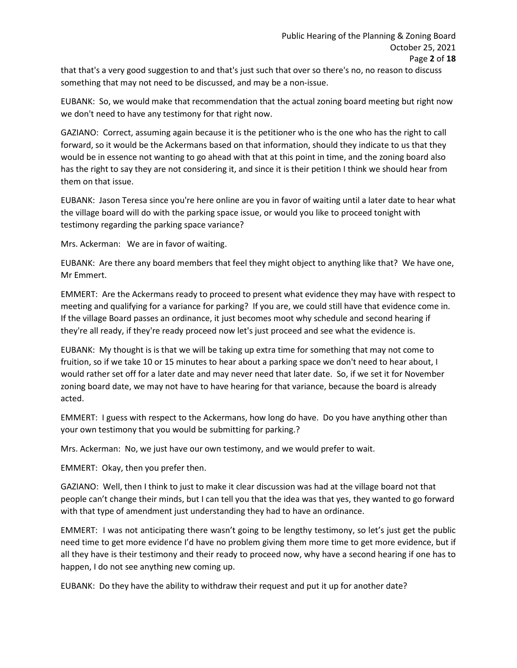that that's a very good suggestion to and that's just such that over so there's no, no reason to discuss something that may not need to be discussed, and may be a non-issue.

EUBANK: So, we would make that recommendation that the actual zoning board meeting but right now we don't need to have any testimony for that right now.

GAZIANO: Correct, assuming again because it is the petitioner who is the one who has the right to call forward, so it would be the Ackermans based on that information, should they indicate to us that they would be in essence not wanting to go ahead with that at this point in time, and the zoning board also has the right to say they are not considering it, and since it is their petition I think we should hear from them on that issue.

EUBANK: Jason Teresa since you're here online are you in favor of waiting until a later date to hear what the village board will do with the parking space issue, or would you like to proceed tonight with testimony regarding the parking space variance?

Mrs. Ackerman: We are in favor of waiting.

EUBANK: Are there any board members that feel they might object to anything like that? We have one, Mr Emmert.

EMMERT: Are the Ackermans ready to proceed to present what evidence they may have with respect to meeting and qualifying for a variance for parking? If you are, we could still have that evidence come in. If the village Board passes an ordinance, it just becomes moot why schedule and second hearing if they're all ready, if they're ready proceed now let's just proceed and see what the evidence is.

EUBANK: My thought is is that we will be taking up extra time for something that may not come to fruition, so if we take 10 or 15 minutes to hear about a parking space we don't need to hear about, I would rather set off for a later date and may never need that later date. So, if we set it for November zoning board date, we may not have to have hearing for that variance, because the board is already acted.

EMMERT: I guess with respect to the Ackermans, how long do have. Do you have anything other than your own testimony that you would be submitting for parking.?

Mrs. Ackerman: No, we just have our own testimony, and we would prefer to wait.

EMMERT: Okay, then you prefer then.

GAZIANO: Well, then I think to just to make it clear discussion was had at the village board not that people can't change their minds, but I can tell you that the idea was that yes, they wanted to go forward with that type of amendment just understanding they had to have an ordinance.

EMMERT: I was not anticipating there wasn't going to be lengthy testimony, so let's just get the public need time to get more evidence I'd have no problem giving them more time to get more evidence, but if all they have is their testimony and their ready to proceed now, why have a second hearing if one has to happen, I do not see anything new coming up.

EUBANK: Do they have the ability to withdraw their request and put it up for another date?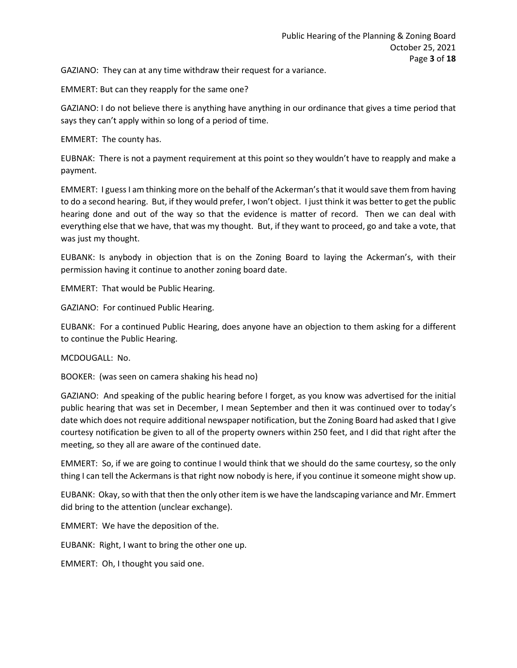GAZIANO: They can at any time withdraw their request for a variance.

EMMERT: But can they reapply for the same one?

GAZIANO: I do not believe there is anything have anything in our ordinance that gives a time period that says they can't apply within so long of a period of time.

EMMERT: The county has.

EUBNAK: There is not a payment requirement at this point so they wouldn't have to reapply and make a payment.

EMMERT: I guess I am thinking more on the behalf of the Ackerman's that it would save them from having to do a second hearing. But, if they would prefer, I won't object. I just think it was better to get the public hearing done and out of the way so that the evidence is matter of record. Then we can deal with everything else that we have, that was my thought. But, if they want to proceed, go and take a vote, that was just my thought.

EUBANK: Is anybody in objection that is on the Zoning Board to laying the Ackerman's, with their permission having it continue to another zoning board date.

EMMERT: That would be Public Hearing.

GAZIANO: For continued Public Hearing.

EUBANK: For a continued Public Hearing, does anyone have an objection to them asking for a different to continue the Public Hearing.

MCDOUGALL: No.

BOOKER: (was seen on camera shaking his head no)

GAZIANO: And speaking of the public hearing before I forget, as you know was advertised for the initial public hearing that was set in December, I mean September and then it was continued over to today's date which does not require additional newspaper notification, but the Zoning Board had asked that I give courtesy notification be given to all of the property owners within 250 feet, and I did that right after the meeting, so they all are aware of the continued date.

EMMERT: So, if we are going to continue I would think that we should do the same courtesy, so the only thing I can tell the Ackermans is that right now nobody is here, if you continue it someone might show up.

EUBANK: Okay, so with that then the only other item is we have the landscaping variance and Mr. Emmert did bring to the attention (unclear exchange).

EMMERT: We have the deposition of the.

EUBANK: Right, I want to bring the other one up.

EMMERT: Oh, I thought you said one.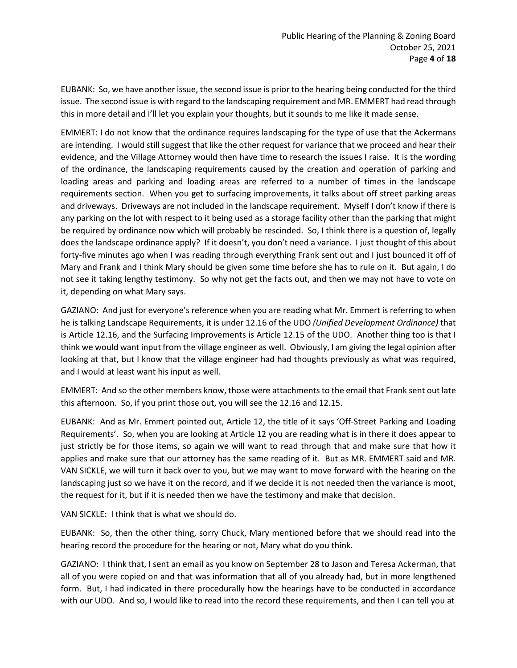EUBANK: So, we have another issue, the second issue is prior to the hearing being conducted for the third issue. The second issue is with regard to the landscaping requirement and MR. EMMERT had read through this in more detail and I'll let you explain your thoughts, but it sounds to me like it made sense.

EMMERT: I do not know that the ordinance requires landscaping for the type of use that the Ackermans are intending. I would still suggest that like the other request for variance that we proceed and hear their evidence, and the Village Attorney would then have time to research the issues I raise. It is the wording of the ordinance, the landscaping requirements caused by the creation and operation of parking and loading areas and parking and loading areas are referred to a number of times in the landscape requirements section. When you get to surfacing improvements, it talks about off street parking areas and driveways. Driveways are not included in the landscape requirement. Myself I don't know if there is any parking on the lot with respect to it being used as a storage facility other than the parking that might be required by ordinance now which will probably be rescinded. So, I think there is a question of, legally does the landscape ordinance apply? If it doesn't, you don't need a variance. I just thought of this about forty-five minutes ago when I was reading through everything Frank sent out and I just bounced it off of Mary and Frank and I think Mary should be given some time before she has to rule on it. But again, I do not see it taking lengthy testimony. So why not get the facts out, and then we may not have to vote on it, depending on what Mary says.

GAZIANO: And just for everyone's reference when you are reading what Mr. Emmert is referring to when he is talking Landscape Requirements, it is under 12.16 of the UDO *(Unified Development Ordinance)* that is Article 12.16, and the Surfacing Improvements is Article 12.15 of the UDO. Another thing too is that I think we would want input from the village engineer as well. Obviously, I am giving the legal opinion after looking at that, but I know that the village engineer had had thoughts previously as what was required, and I would at least want his input as well.

EMMERT: And so the other members know, those were attachments to the email that Frank sent out late this afternoon. So, if you print those out, you will see the 12.16 and 12.15.

EUBANK: And as Mr. Emmert pointed out, Article 12, the title of it says 'Off-Street Parking and Loading Requirements'. So, when you are looking at Article 12 you are reading what is in there it does appear to just strictly be for those items, so again we will want to read through that and make sure that how it applies and make sure that our attorney has the same reading of it. But as MR. EMMERT said and MR. VAN SICKLE, we will turn it back over to you, but we may want to move forward with the hearing on the landscaping just so we have it on the record, and if we decide it is not needed then the variance is moot, the request for it, but if it is needed then we have the testimony and make that decision.

VAN SICKLE: I think that is what we should do.

EUBANK: So, then the other thing, sorry Chuck, Mary mentioned before that we should read into the hearing record the procedure for the hearing or not, Mary what do you think.

GAZIANO: I think that, I sent an email as you know on September 28 to Jason and Teresa Ackerman, that all of you were copied on and that was information that all of you already had, but in more lengthened form. But, I had indicated in there procedurally how the hearings have to be conducted in accordance with our UDO. And so, I would like to read into the record these requirements, and then I can tell you at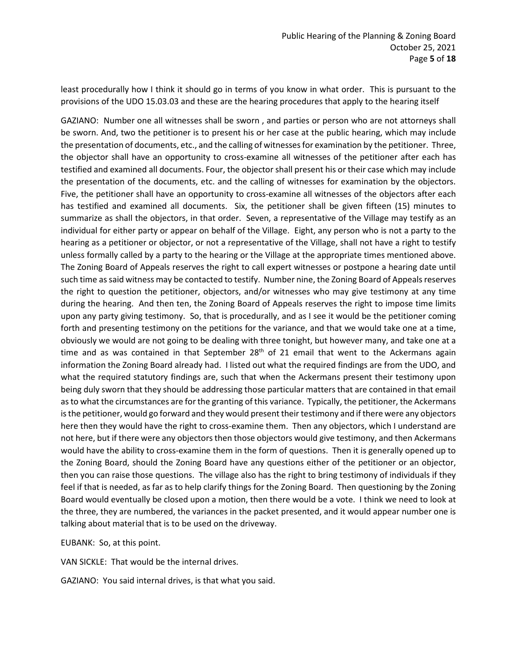least procedurally how I think it should go in terms of you know in what order. This is pursuant to the provisions of the UDO 15.03.03 and these are the hearing procedures that apply to the hearing itself

GAZIANO: Number one all witnesses shall be sworn , and parties or person who are not attorneys shall be sworn. And, two the petitioner is to present his or her case at the public hearing, which may include the presentation of documents, etc., and the calling of witnesses for examination by the petitioner. Three, the objector shall have an opportunity to cross-examine all witnesses of the petitioner after each has testified and examined all documents. Four, the objector shall present his or their case which may include the presentation of the documents, etc. and the calling of witnesses for examination by the objectors. Five, the petitioner shall have an opportunity to cross-examine all witnesses of the objectors after each has testified and examined all documents. Six, the petitioner shall be given fifteen (15) minutes to summarize as shall the objectors, in that order. Seven, a representative of the Village may testify as an individual for either party or appear on behalf of the Village. Eight, any person who is not a party to the hearing as a petitioner or objector, or not a representative of the Village, shall not have a right to testify unless formally called by a party to the hearing or the Village at the appropriate times mentioned above. The Zoning Board of Appeals reserves the right to call expert witnesses or postpone a hearing date until such time as said witness may be contacted to testify. Number nine, the Zoning Board of Appeals reserves the right to question the petitioner, objectors, and/or witnesses who may give testimony at any time during the hearing. And then ten, the Zoning Board of Appeals reserves the right to impose time limits upon any party giving testimony. So, that is procedurally, and as I see it would be the petitioner coming forth and presenting testimony on the petitions for the variance, and that we would take one at a time, obviously we would are not going to be dealing with three tonight, but however many, and take one at a time and as was contained in that September  $28<sup>th</sup>$  of 21 email that went to the Ackermans again information the Zoning Board already had. I listed out what the required findings are from the UDO, and what the required statutory findings are, such that when the Ackermans present their testimony upon being duly sworn that they should be addressing those particular matters that are contained in that email as to what the circumstances are for the granting of this variance. Typically, the petitioner, the Ackermans is the petitioner, would go forward and they would present their testimony and if there were any objectors here then they would have the right to cross-examine them. Then any objectors, which I understand are not here, but if there were any objectors then those objectors would give testimony, and then Ackermans would have the ability to cross-examine them in the form of questions. Then it is generally opened up to the Zoning Board, should the Zoning Board have any questions either of the petitioner or an objector, then you can raise those questions. The village also has the right to bring testimony of individuals if they feel if that is needed, as far as to help clarify things for the Zoning Board. Then questioning by the Zoning Board would eventually be closed upon a motion, then there would be a vote. I think we need to look at the three, they are numbered, the variances in the packet presented, and it would appear number one is talking about material that is to be used on the driveway.

EUBANK: So, at this point.

VAN SICKLE: That would be the internal drives.

GAZIANO: You said internal drives, is that what you said.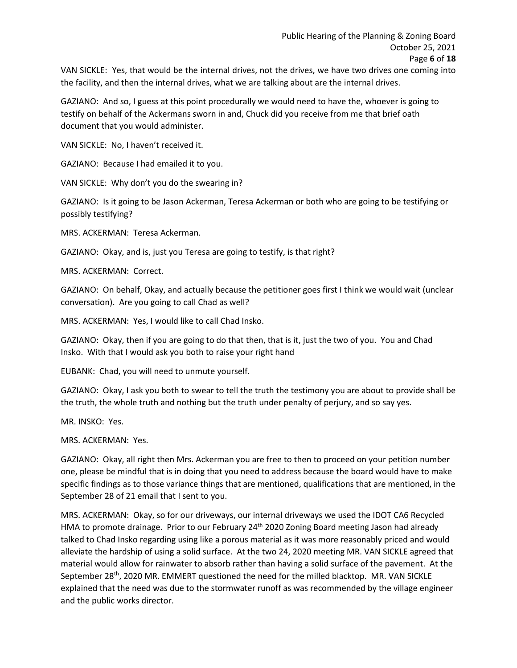VAN SICKLE: Yes, that would be the internal drives, not the drives, we have two drives one coming into the facility, and then the internal drives, what we are talking about are the internal drives.

GAZIANO: And so, I guess at this point procedurally we would need to have the, whoever is going to testify on behalf of the Ackermans sworn in and, Chuck did you receive from me that brief oath document that you would administer.

VAN SICKLE: No, I haven't received it.

GAZIANO: Because I had emailed it to you.

VAN SICKLE: Why don't you do the swearing in?

GAZIANO: Is it going to be Jason Ackerman, Teresa Ackerman or both who are going to be testifying or possibly testifying?

MRS. ACKERMAN: Teresa Ackerman.

GAZIANO: Okay, and is, just you Teresa are going to testify, is that right?

MRS. ACKERMAN: Correct.

GAZIANO: On behalf, Okay, and actually because the petitioner goes first I think we would wait (unclear conversation). Are you going to call Chad as well?

MRS. ACKERMAN: Yes, I would like to call Chad Insko.

GAZIANO: Okay, then if you are going to do that then, that is it, just the two of you. You and Chad Insko. With that I would ask you both to raise your right hand

EUBANK: Chad, you will need to unmute yourself.

GAZIANO: Okay, I ask you both to swear to tell the truth the testimony you are about to provide shall be the truth, the whole truth and nothing but the truth under penalty of perjury, and so say yes.

MR. INSKO: Yes.

MRS. ACKERMAN: Yes.

GAZIANO: Okay, all right then Mrs. Ackerman you are free to then to proceed on your petition number one, please be mindful that is in doing that you need to address because the board would have to make specific findings as to those variance things that are mentioned, qualifications that are mentioned, in the September 28 of 21 email that I sent to you.

MRS. ACKERMAN: Okay, so for our driveways, our internal driveways we used the IDOT CA6 Recycled HMA to promote drainage. Prior to our February 24<sup>th</sup> 2020 Zoning Board meeting Jason had already talked to Chad Insko regarding using like a porous material as it was more reasonably priced and would alleviate the hardship of using a solid surface. At the two 24, 2020 meeting MR. VAN SICKLE agreed that material would allow for rainwater to absorb rather than having a solid surface of the pavement. At the September 28<sup>th</sup>, 2020 MR. EMMERT questioned the need for the milled blacktop. MR. VAN SICKLE explained that the need was due to the stormwater runoff as was recommended by the village engineer and the public works director.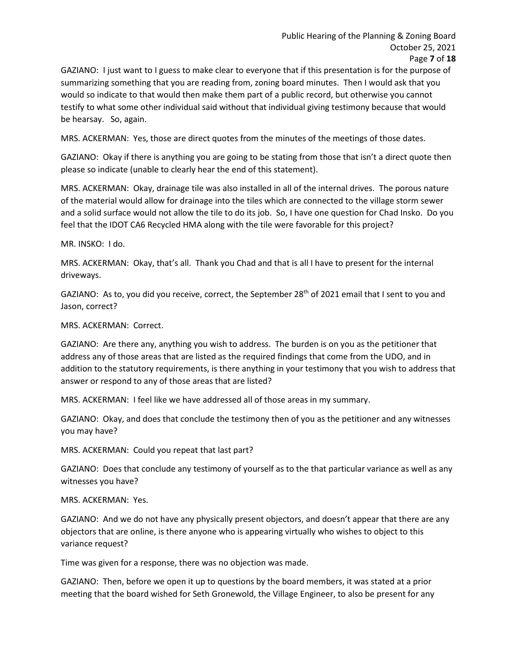GAZIANO: I just want to I guess to make clear to everyone that if this presentation is for the purpose of summarizing something that you are reading from, zoning board minutes. Then I would ask that you would so indicate to that would then make them part of a public record, but otherwise you cannot testify to what some other individual said without that individual giving testimony because that would be hearsay. So, again.

MRS. ACKERMAN: Yes, those are direct quotes from the minutes of the meetings of those dates.

GAZIANO: Okay if there is anything you are going to be stating from those that isn't a direct quote then please so indicate (unable to clearly hear the end of this statement).

MRS. ACKERMAN: Okay, drainage tile was also installed in all of the internal drives. The porous nature of the material would allow for drainage into the tiles which are connected to the village storm sewer and a solid surface would not allow the tile to do its job. So, I have one question for Chad Insko. Do you feel that the IDOT CA6 Recycled HMA along with the tile were favorable for this project?

MR. INSKO: I do.

MRS. ACKERMAN: Okay, that's all. Thank you Chad and that is all I have to present for the internal driveways.

GAZIANO: As to, you did you receive, correct, the September 28<sup>th</sup> of 2021 email that I sent to you and Jason, correct?

MRS. ACKERMAN: Correct.

GAZIANO: Are there any, anything you wish to address. The burden is on you as the petitioner that address any of those areas that are listed as the required findings that come from the UDO, and in addition to the statutory requirements, is there anything in your testimony that you wish to address that answer or respond to any of those areas that are listed?

MRS. ACKERMAN: I feel like we have addressed all of those areas in my summary.

GAZIANO: Okay, and does that conclude the testimony then of you as the petitioner and any witnesses you may have?

MRS. ACKERMAN: Could you repeat that last part?

GAZIANO: Does that conclude any testimony of yourself as to the that particular variance as well as any witnesses you have?

MRS. ACKERMAN: Yes.

GAZIANO: And we do not have any physically present objectors, and doesn't appear that there are any objectors that are online, is there anyone who is appearing virtually who wishes to object to this variance request?

Time was given for a response, there was no objection was made.

GAZIANO: Then, before we open it up to questions by the board members, it was stated at a prior meeting that the board wished for Seth Gronewold, the Village Engineer, to also be present for any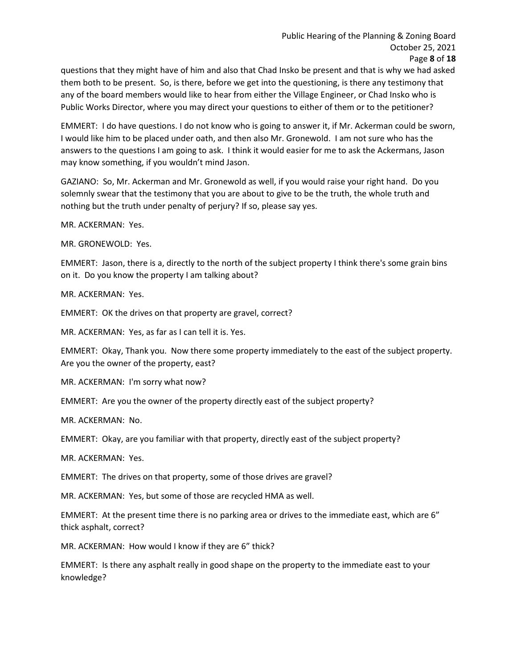questions that they might have of him and also that Chad Insko be present and that is why we had asked them both to be present. So, is there, before we get into the questioning, is there any testimony that any of the board members would like to hear from either the Village Engineer, or Chad Insko who is Public Works Director, where you may direct your questions to either of them or to the petitioner?

EMMERT: I do have questions. I do not know who is going to answer it, if Mr. Ackerman could be sworn, I would like him to be placed under oath, and then also Mr. Gronewold. I am not sure who has the answers to the questions I am going to ask. I think it would easier for me to ask the Ackermans, Jason may know something, if you wouldn't mind Jason.

GAZIANO: So, Mr. Ackerman and Mr. Gronewold as well, if you would raise your right hand. Do you solemnly swear that the testimony that you are about to give to be the truth, the whole truth and nothing but the truth under penalty of perjury? If so, please say yes.

MR. ACKERMAN: Yes.

MR. GRONEWOLD: Yes.

EMMERT: Jason, there is a, directly to the north of the subject property I think there's some grain bins on it. Do you know the property I am talking about?

MR. ACKERMAN: Yes.

EMMERT: OK the drives on that property are gravel, correct?

MR. ACKERMAN: Yes, as far as I can tell it is. Yes.

EMMERT: Okay, Thank you. Now there some property immediately to the east of the subject property. Are you the owner of the property, east?

MR. ACKERMAN: I'm sorry what now?

EMMERT: Are you the owner of the property directly east of the subject property?

MR. ACKERMAN: No.

EMMERT: Okay, are you familiar with that property, directly east of the subject property?

MR. ACKERMAN: Yes.

EMMERT: The drives on that property, some of those drives are gravel?

MR. ACKERMAN: Yes, but some of those are recycled HMA as well.

EMMERT: At the present time there is no parking area or drives to the immediate east, which are 6" thick asphalt, correct?

MR. ACKERMAN: How would I know if they are 6" thick?

EMMERT: Is there any asphalt really in good shape on the property to the immediate east to your knowledge?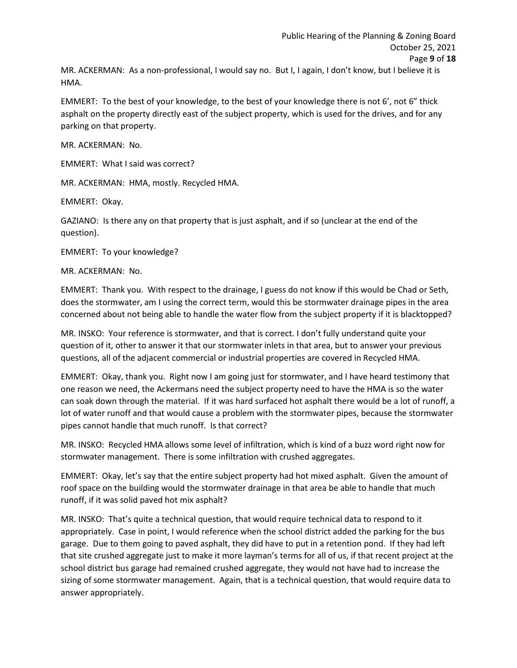MR. ACKERMAN: As a non-professional, I would say no. But I, I again, I don't know, but I believe it is HMA.

EMMERT: To the best of your knowledge, to the best of your knowledge there is not 6', not 6" thick asphalt on the property directly east of the subject property, which is used for the drives, and for any parking on that property.

MR. ACKERMAN: No.

EMMERT: What I said was correct?

MR. ACKERMAN: HMA, mostly. Recycled HMA.

EMMERT: Okay.

GAZIANO: Is there any on that property that is just asphalt, and if so (unclear at the end of the question).

EMMERT: To your knowledge?

MR. ACKERMAN: No.

EMMERT: Thank you. With respect to the drainage, I guess do not know if this would be Chad or Seth, does the stormwater, am I using the correct term, would this be stormwater drainage pipes in the area concerned about not being able to handle the water flow from the subject property if it is blacktopped?

MR. INSKO: Your reference is stormwater, and that is correct. I don't fully understand quite your question of it, other to answer it that our stormwater inlets in that area, but to answer your previous questions, all of the adjacent commercial or industrial properties are covered in Recycled HMA.

EMMERT: Okay, thank you. Right now I am going just for stormwater, and I have heard testimony that one reason we need, the Ackermans need the subject property need to have the HMA is so the water can soak down through the material. If it was hard surfaced hot asphalt there would be a lot of runoff, a lot of water runoff and that would cause a problem with the stormwater pipes, because the stormwater pipes cannot handle that much runoff. Is that correct?

MR. INSKO: Recycled HMA allows some level of infiltration, which is kind of a buzz word right now for stormwater management. There is some infiltration with crushed aggregates.

EMMERT: Okay, let's say that the entire subject property had hot mixed asphalt. Given the amount of roof space on the building would the stormwater drainage in that area be able to handle that much runoff, if it was solid paved hot mix asphalt?

MR. INSKO: That's quite a technical question, that would require technical data to respond to it appropriately. Case in point, I would reference when the school district added the parking for the bus garage. Due to them going to paved asphalt, they did have to put in a retention pond. If they had left that site crushed aggregate just to make it more layman's terms for all of us, if that recent project at the school district bus garage had remained crushed aggregate, they would not have had to increase the sizing of some stormwater management. Again, that is a technical question, that would require data to answer appropriately.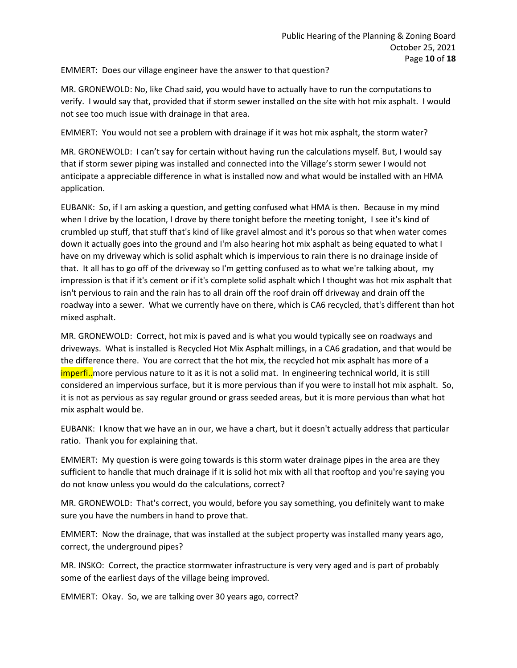EMMERT: Does our village engineer have the answer to that question?

MR. GRONEWOLD: No, like Chad said, you would have to actually have to run the computations to verify. I would say that, provided that if storm sewer installed on the site with hot mix asphalt. I would not see too much issue with drainage in that area.

EMMERT: You would not see a problem with drainage if it was hot mix asphalt, the storm water?

MR. GRONEWOLD: I can't say for certain without having run the calculations myself. But, I would say that if storm sewer piping was installed and connected into the Village's storm sewer I would not anticipate a appreciable difference in what is installed now and what would be installed with an HMA application.

EUBANK: So, if I am asking a question, and getting confused what HMA is then. Because in my mind when I drive by the location, I drove by there tonight before the meeting tonight, I see it's kind of crumbled up stuff, that stuff that's kind of like gravel almost and it's porous so that when water comes down it actually goes into the ground and I'm also hearing hot mix asphalt as being equated to what I have on my driveway which is solid asphalt which is impervious to rain there is no drainage inside of that. It all has to go off of the driveway so I'm getting confused as to what we're talking about, my impression is that if it's cement or if it's complete solid asphalt which I thought was hot mix asphalt that isn't pervious to rain and the rain has to all drain off the roof drain off driveway and drain off the roadway into a sewer. What we currently have on there, which is CA6 recycled, that's different than hot mixed asphalt.

MR. GRONEWOLD: Correct, hot mix is paved and is what you would typically see on roadways and driveways. What is installed is Recycled Hot Mix Asphalt millings, in a CA6 gradation, and that would be the difference there. You are correct that the hot mix, the recycled hot mix asphalt has more of a imperfi..more pervious nature to it as it is not a solid mat. In engineering technical world, it is still considered an impervious surface, but it is more pervious than if you were to install hot mix asphalt. So, it is not as pervious as say regular ground or grass seeded areas, but it is more pervious than what hot mix asphalt would be.

EUBANK: I know that we have an in our, we have a chart, but it doesn't actually address that particular ratio. Thank you for explaining that.

EMMERT: My question is were going towards is this storm water drainage pipes in the area are they sufficient to handle that much drainage if it is solid hot mix with all that rooftop and you're saying you do not know unless you would do the calculations, correct?

MR. GRONEWOLD: That's correct, you would, before you say something, you definitely want to make sure you have the numbers in hand to prove that.

EMMERT: Now the drainage, that was installed at the subject property was installed many years ago, correct, the underground pipes?

MR. INSKO: Correct, the practice stormwater infrastructure is very very aged and is part of probably some of the earliest days of the village being improved.

EMMERT: Okay. So, we are talking over 30 years ago, correct?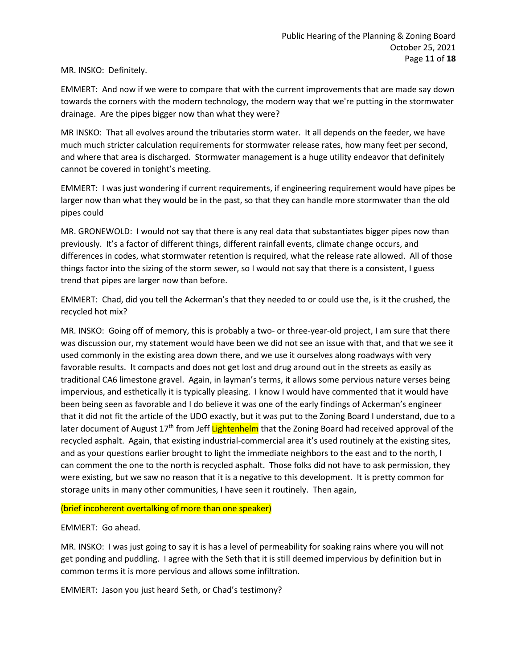MR. INSKO: Definitely.

EMMERT: And now if we were to compare that with the current improvements that are made say down towards the corners with the modern technology, the modern way that we're putting in the stormwater drainage. Are the pipes bigger now than what they were?

MR INSKO: That all evolves around the tributaries storm water. It all depends on the feeder, we have much much stricter calculation requirements for stormwater release rates, how many feet per second, and where that area is discharged. Stormwater management is a huge utility endeavor that definitely cannot be covered in tonight's meeting.

EMMERT: I was just wondering if current requirements, if engineering requirement would have pipes be larger now than what they would be in the past, so that they can handle more stormwater than the old pipes could

MR. GRONEWOLD: I would not say that there is any real data that substantiates bigger pipes now than previously. It's a factor of different things, different rainfall events, climate change occurs, and differences in codes, what stormwater retention is required, what the release rate allowed. All of those things factor into the sizing of the storm sewer, so I would not say that there is a consistent, I guess trend that pipes are larger now than before.

EMMERT: Chad, did you tell the Ackerman's that they needed to or could use the, is it the crushed, the recycled hot mix?

MR. INSKO: Going off of memory, this is probably a two- or three-year-old project, I am sure that there was discussion our, my statement would have been we did not see an issue with that, and that we see it used commonly in the existing area down there, and we use it ourselves along roadways with very favorable results. It compacts and does not get lost and drug around out in the streets as easily as traditional CA6 limestone gravel. Again, in layman's terms, it allows some pervious nature verses being impervious, and esthetically it is typically pleasing. I know I would have commented that it would have been being seen as favorable and I do believe it was one of the early findings of Ackerman's engineer that it did not fit the article of the UDO exactly, but it was put to the Zoning Board I understand, due to a later document of August 17<sup>th</sup> from Jeff Lightenhelm that the Zoning Board had received approval of the recycled asphalt. Again, that existing industrial-commercial area it's used routinely at the existing sites, and as your questions earlier brought to light the immediate neighbors to the east and to the north, I can comment the one to the north is recycled asphalt. Those folks did not have to ask permission, they were existing, but we saw no reason that it is a negative to this development. It is pretty common for storage units in many other communities, I have seen it routinely. Then again,

## (brief incoherent overtalking of more than one speaker)

## EMMERT: Go ahead.

MR. INSKO: I was just going to say it is has a level of permeability for soaking rains where you will not get ponding and puddling. I agree with the Seth that it is still deemed impervious by definition but in common terms it is more pervious and allows some infiltration.

EMMERT: Jason you just heard Seth, or Chad's testimony?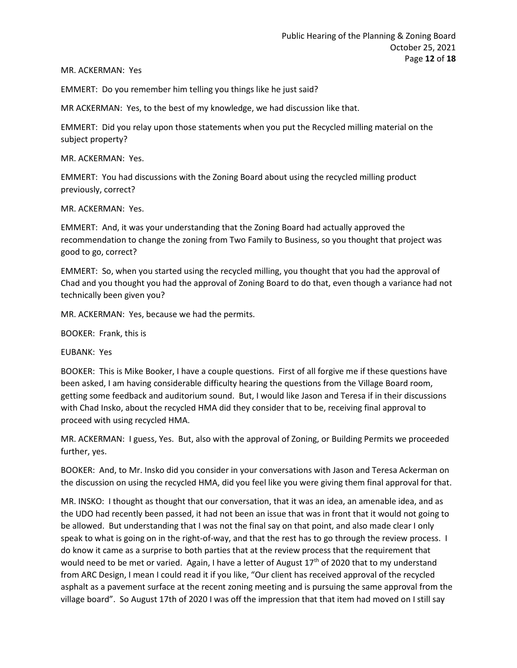MR. ACKERMAN: Yes

EMMERT: Do you remember him telling you things like he just said?

MR ACKERMAN: Yes, to the best of my knowledge, we had discussion like that.

EMMERT: Did you relay upon those statements when you put the Recycled milling material on the subject property?

MR. ACKERMAN: Yes.

EMMERT: You had discussions with the Zoning Board about using the recycled milling product previously, correct?

MR. ACKERMAN: Yes.

EMMERT: And, it was your understanding that the Zoning Board had actually approved the recommendation to change the zoning from Two Family to Business, so you thought that project was good to go, correct?

EMMERT: So, when you started using the recycled milling, you thought that you had the approval of Chad and you thought you had the approval of Zoning Board to do that, even though a variance had not technically been given you?

MR. ACKERMAN: Yes, because we had the permits.

BOOKER: Frank, this is

EUBANK: Yes

BOOKER: This is Mike Booker, I have a couple questions. First of all forgive me if these questions have been asked, I am having considerable difficulty hearing the questions from the Village Board room, getting some feedback and auditorium sound. But, I would like Jason and Teresa if in their discussions with Chad Insko, about the recycled HMA did they consider that to be, receiving final approval to proceed with using recycled HMA.

MR. ACKERMAN: I guess, Yes. But, also with the approval of Zoning, or Building Permits we proceeded further, yes.

BOOKER: And, to Mr. Insko did you consider in your conversations with Jason and Teresa Ackerman on the discussion on using the recycled HMA, did you feel like you were giving them final approval for that.

MR. INSKO: I thought as thought that our conversation, that it was an idea, an amenable idea, and as the UDO had recently been passed, it had not been an issue that was in front that it would not going to be allowed. But understanding that I was not the final say on that point, and also made clear I only speak to what is going on in the right-of-way, and that the rest has to go through the review process. I do know it came as a surprise to both parties that at the review process that the requirement that would need to be met or varied. Again, I have a letter of August  $17<sup>th</sup>$  of 2020 that to my understand from ARC Design, I mean I could read it if you like, "Our client has received approval of the recycled asphalt as a pavement surface at the recent zoning meeting and is pursuing the same approval from the village board". So August 17th of 2020 I was off the impression that that item had moved on I still say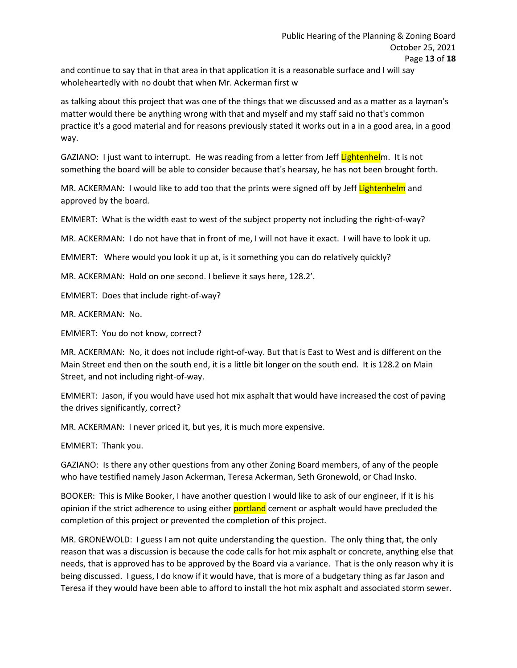and continue to say that in that area in that application it is a reasonable surface and I will say wholeheartedly with no doubt that when Mr. Ackerman first w

as talking about this project that was one of the things that we discussed and as a matter as a layman's matter would there be anything wrong with that and myself and my staff said no that's common practice it's a good material and for reasons previously stated it works out in a in a good area, in a good way.

GAZIANO: I just want to interrupt. He was reading from a letter from Jeff Lightenhelm. It is not something the board will be able to consider because that's hearsay, he has not been brought forth.

MR. ACKERMAN: I would like to add too that the prints were signed off by Jeff Lightenhelm and approved by the board.

EMMERT: What is the width east to west of the subject property not including the right-of-way?

MR. ACKERMAN: I do not have that in front of me, I will not have it exact. I will have to look it up.

EMMERT: Where would you look it up at, is it something you can do relatively quickly?

MR. ACKERMAN: Hold on one second. I believe it says here, 128.2'.

EMMERT: Does that include right-of-way?

MR. ACKERMAN: No.

EMMERT: You do not know, correct?

MR. ACKERMAN: No, it does not include right-of-way. But that is East to West and is different on the Main Street end then on the south end, it is a little bit longer on the south end. It is 128.2 on Main Street, and not including right-of-way.

EMMERT: Jason, if you would have used hot mix asphalt that would have increased the cost of paving the drives significantly, correct?

MR. ACKERMAN: I never priced it, but yes, it is much more expensive.

EMMERT: Thank you.

GAZIANO: Is there any other questions from any other Zoning Board members, of any of the people who have testified namely Jason Ackerman, Teresa Ackerman, Seth Gronewold, or Chad Insko.

BOOKER: This is Mike Booker, I have another question I would like to ask of our engineer, if it is his opinion if the strict adherence to using either **portland** cement or asphalt would have precluded the completion of this project or prevented the completion of this project.

MR. GRONEWOLD: I guess I am not quite understanding the question. The only thing that, the only reason that was a discussion is because the code calls for hot mix asphalt or concrete, anything else that needs, that is approved has to be approved by the Board via a variance. That is the only reason why it is being discussed. I guess, I do know if it would have, that is more of a budgetary thing as far Jason and Teresa if they would have been able to afford to install the hot mix asphalt and associated storm sewer.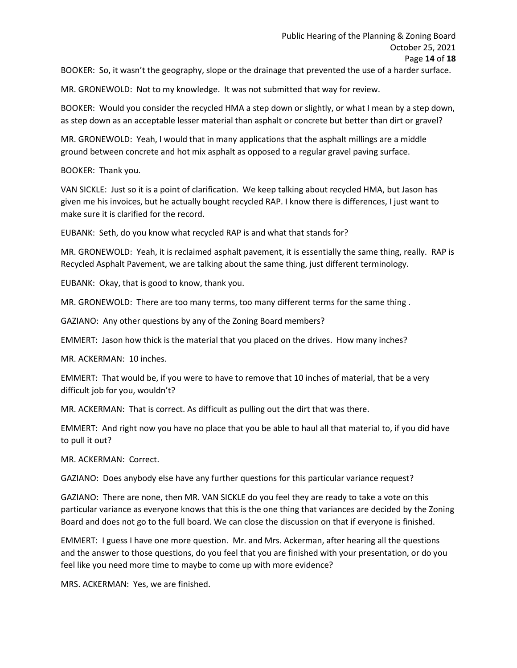BOOKER: So, it wasn't the geography, slope or the drainage that prevented the use of a harder surface.

MR. GRONEWOLD: Not to my knowledge. It was not submitted that way for review.

BOOKER: Would you consider the recycled HMA a step down or slightly, or what I mean by a step down, as step down as an acceptable lesser material than asphalt or concrete but better than dirt or gravel?

MR. GRONEWOLD: Yeah, I would that in many applications that the asphalt millings are a middle ground between concrete and hot mix asphalt as opposed to a regular gravel paving surface.

BOOKER: Thank you.

VAN SICKLE: Just so it is a point of clarification. We keep talking about recycled HMA, but Jason has given me his invoices, but he actually bought recycled RAP. I know there is differences, I just want to make sure it is clarified for the record.

EUBANK: Seth, do you know what recycled RAP is and what that stands for?

MR. GRONEWOLD: Yeah, it is reclaimed asphalt pavement, it is essentially the same thing, really. RAP is Recycled Asphalt Pavement, we are talking about the same thing, just different terminology.

EUBANK: Okay, that is good to know, thank you.

MR. GRONEWOLD: There are too many terms, too many different terms for the same thing .

GAZIANO: Any other questions by any of the Zoning Board members?

EMMERT: Jason how thick is the material that you placed on the drives. How many inches?

MR. ACKERMAN: 10 inches.

EMMERT: That would be, if you were to have to remove that 10 inches of material, that be a very difficult job for you, wouldn't?

MR. ACKERMAN: That is correct. As difficult as pulling out the dirt that was there.

EMMERT: And right now you have no place that you be able to haul all that material to, if you did have to pull it out?

MR. ACKERMAN: Correct.

GAZIANO: Does anybody else have any further questions for this particular variance request?

GAZIANO: There are none, then MR. VAN SICKLE do you feel they are ready to take a vote on this particular variance as everyone knows that this is the one thing that variances are decided by the Zoning Board and does not go to the full board. We can close the discussion on that if everyone is finished.

EMMERT: I guess I have one more question. Mr. and Mrs. Ackerman, after hearing all the questions and the answer to those questions, do you feel that you are finished with your presentation, or do you feel like you need more time to maybe to come up with more evidence?

MRS. ACKERMAN: Yes, we are finished.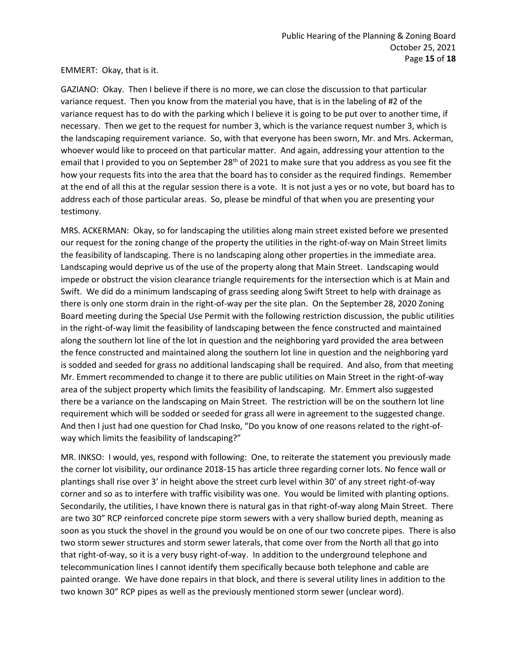### EMMERT: Okay, that is it.

GAZIANO: Okay. Then I believe if there is no more, we can close the discussion to that particular variance request. Then you know from the material you have, that is in the labeling of #2 of the variance request has to do with the parking which I believe it is going to be put over to another time, if necessary. Then we get to the request for number 3, which is the variance request number 3, which is the landscaping requirement variance. So, with that everyone has been sworn, Mr. and Mrs. Ackerman, whoever would like to proceed on that particular matter. And again, addressing your attention to the email that I provided to you on September 28<sup>th</sup> of 2021 to make sure that you address as you see fit the how your requests fits into the area that the board has to consider as the required findings. Remember at the end of all this at the regular session there is a vote. It is not just a yes or no vote, but board has to address each of those particular areas. So, please be mindful of that when you are presenting your testimony.

MRS. ACKERMAN: Okay, so for landscaping the utilities along main street existed before we presented our request for the zoning change of the property the utilities in the right-of-way on Main Street limits the feasibility of landscaping. There is no landscaping along other properties in the immediate area. Landscaping would deprive us of the use of the property along that Main Street. Landscaping would impede or obstruct the vision clearance triangle requirements for the intersection which is at Main and Swift. We did do a minimum landscaping of grass seeding along Swift Street to help with drainage as there is only one storm drain in the right-of-way per the site plan. On the September 28, 2020 Zoning Board meeting during the Special Use Permit with the following restriction discussion, the public utilities in the right-of-way limit the feasibility of landscaping between the fence constructed and maintained along the southern lot line of the lot in question and the neighboring yard provided the area between the fence constructed and maintained along the southern lot line in question and the neighboring yard is sodded and seeded for grass no additional landscaping shall be required. And also, from that meeting Mr. Emmert recommended to change it to there are public utilities on Main Street in the right-of-way area of the subject property which limits the feasibility of landscaping. Mr. Emmert also suggested there be a variance on the landscaping on Main Street. The restriction will be on the southern lot line requirement which will be sodded or seeded for grass all were in agreement to the suggested change. And then I just had one question for Chad Insko, "Do you know of one reasons related to the right-ofway which limits the feasibility of landscaping?"

MR. INKSO: I would, yes, respond with following: One, to reiterate the statement you previously made the corner lot visibility, our ordinance 2018-15 has article three regarding corner lots. No fence wall or plantings shall rise over 3' in height above the street curb level within 30' of any street right-of-way corner and so as to interfere with traffic visibility was one. You would be limited with planting options. Secondarily, the utilities, I have known there is natural gas in that right-of-way along Main Street. There are two 30" RCP reinforced concrete pipe storm sewers with a very shallow buried depth, meaning as soon as you stuck the shovel in the ground you would be on one of our two concrete pipes. There is also two storm sewer structures and storm sewer laterals, that come over from the North all that go into that right-of-way, so it is a very busy right-of-way. In addition to the underground telephone and telecommunication lines I cannot identify them specifically because both telephone and cable are painted orange. We have done repairs in that block, and there is several utility lines in addition to the two known 30" RCP pipes as well as the previously mentioned storm sewer (unclear word).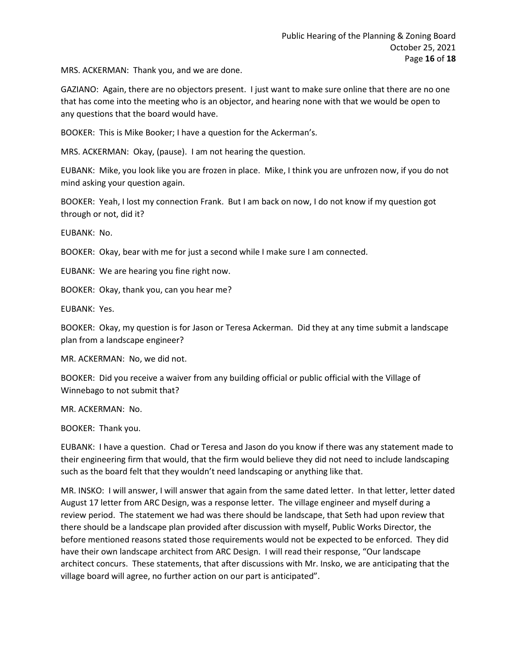MRS. ACKERMAN: Thank you, and we are done.

GAZIANO: Again, there are no objectors present. I just want to make sure online that there are no one that has come into the meeting who is an objector, and hearing none with that we would be open to any questions that the board would have.

BOOKER: This is Mike Booker; I have a question for the Ackerman's.

MRS. ACKERMAN: Okay, (pause). I am not hearing the question.

EUBANK: Mike, you look like you are frozen in place. Mike, I think you are unfrozen now, if you do not mind asking your question again.

BOOKER: Yeah, I lost my connection Frank. But I am back on now, I do not know if my question got through or not, did it?

EUBANK: No.

BOOKER: Okay, bear with me for just a second while I make sure I am connected.

EUBANK: We are hearing you fine right now.

BOOKER: Okay, thank you, can you hear me?

EUBANK: Yes.

BOOKER: Okay, my question is for Jason or Teresa Ackerman. Did they at any time submit a landscape plan from a landscape engineer?

MR. ACKERMAN: No, we did not.

BOOKER: Did you receive a waiver from any building official or public official with the Village of Winnebago to not submit that?

MR. ACKERMAN: No.

BOOKER: Thank you.

EUBANK: I have a question. Chad or Teresa and Jason do you know if there was any statement made to their engineering firm that would, that the firm would believe they did not need to include landscaping such as the board felt that they wouldn't need landscaping or anything like that.

MR. INSKO: I will answer, I will answer that again from the same dated letter. In that letter, letter dated August 17 letter from ARC Design, was a response letter. The village engineer and myself during a review period. The statement we had was there should be landscape, that Seth had upon review that there should be a landscape plan provided after discussion with myself, Public Works Director, the before mentioned reasons stated those requirements would not be expected to be enforced. They did have their own landscape architect from ARC Design. I will read their response, "Our landscape architect concurs. These statements, that after discussions with Mr. Insko, we are anticipating that the village board will agree, no further action on our part is anticipated".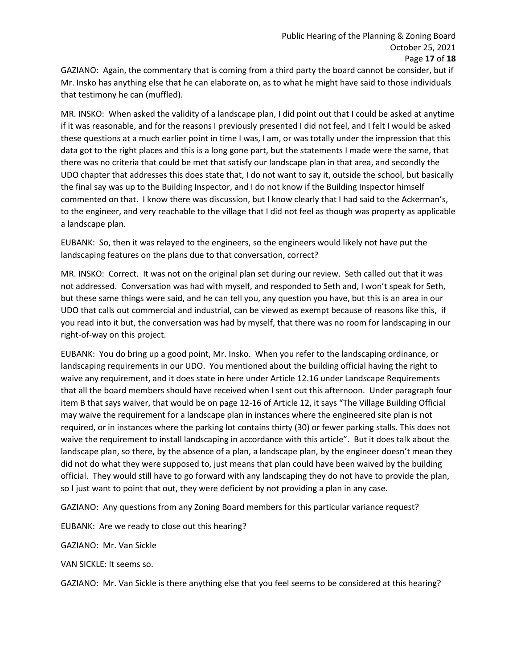GAZIANO: Again, the commentary that is coming from a third party the board cannot be consider, but if Mr. Insko has anything else that he can elaborate on, as to what he might have said to those individuals that testimony he can (muffled).

MR. INSKO: When asked the validity of a landscape plan, I did point out that I could be asked at anytime if it was reasonable, and for the reasons I previously presented I did not feel, and I felt I would be asked these questions at a much earlier point in time I was, I am, or was totally under the impression that this data got to the right places and this is a long gone part, but the statements I made were the same, that there was no criteria that could be met that satisfy our landscape plan in that area, and secondly the UDO chapter that addresses this does state that, I do not want to say it, outside the school, but basically the final say was up to the Building Inspector, and I do not know if the Building Inspector himself commented on that. I know there was discussion, but I know clearly that I had said to the Ackerman's, to the engineer, and very reachable to the village that I did not feel as though was property as applicable a landscape plan.

EUBANK: So, then it was relayed to the engineers, so the engineers would likely not have put the landscaping features on the plans due to that conversation, correct?

MR. INSKO: Correct. It was not on the original plan set during our review. Seth called out that it was not addressed. Conversation was had with myself, and responded to Seth and, I won't speak for Seth, but these same things were said, and he can tell you, any question you have, but this is an area in our UDO that calls out commercial and industrial, can be viewed as exempt because of reasons like this, if you read into it but, the conversation was had by myself, that there was no room for landscaping in our right-of-way on this project.

EUBANK: You do bring up a good point, Mr. Insko. When you refer to the landscaping ordinance, or landscaping requirements in our UDO. You mentioned about the building official having the right to waive any requirement, and it does state in here under Article 12.16 under Landscape Requirements that all the board members should have received when I sent out this afternoon. Under paragraph four item B that says waiver, that would be on page 12-16 of Article 12, it says "The Village Building Official may waive the requirement for a landscape plan in instances where the engineered site plan is not required, or in instances where the parking lot contains thirty (30) or fewer parking stalls. This does not waive the requirement to install landscaping in accordance with this article". But it does talk about the landscape plan, so there, by the absence of a plan, a landscape plan, by the engineer doesn't mean they did not do what they were supposed to, just means that plan could have been waived by the building official. They would still have to go forward with any landscaping they do not have to provide the plan, so I just want to point that out, they were deficient by not providing a plan in any case.

GAZIANO: Any questions from any Zoning Board members for this particular variance request?

EUBANK: Are we ready to close out this hearing?

GAZIANO: Mr. Van Sickle

VAN SICKLE: It seems so.

GAZIANO: Mr. Van Sickle is there anything else that you feel seems to be considered at this hearing?